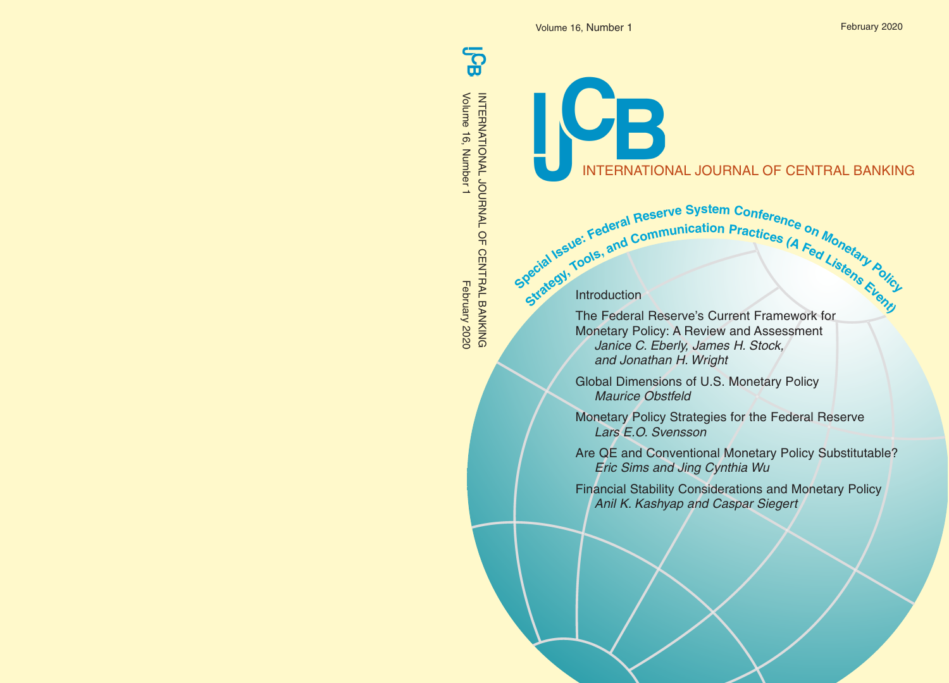င္စာ Volume 16, Number 1

INTERNATIONAL JOURNAL OF CENTRAL BANKING<br>Volume 16, Number 1<br>Volume 16, Number 1 February 2020 INTERNATIONAL JOURNAL OF CENTRAL BANKING

INTERNATIONAL JOURNAL OF CENTRAL BANKING

gecial Issue: Federal Communication Practices (A Feq Listery Police Special Issue: Federal Reserve System Conference on Monetary Reserved Communication Practices (A Fed Listens Rylic

Introduction

JR

The Federal Reserve's Current Framework for Monetary Policy: A Review and Assessment Janice C. Eberly, James H. Stock, and Jonathan H. Wright

Global Dimensions of U.S. Monetary Policy Maurice Obstfeld

Monetary Policy Strategies for the Federal Reserve Lars E.O. Svensson

Are QE and Conventional Monetary Policy Substitutable? Eric Sims and Jing Cynthia Wu

Financial Stability Considerations and Monetary Policy Anil K. Kashyap and Caspar Siegert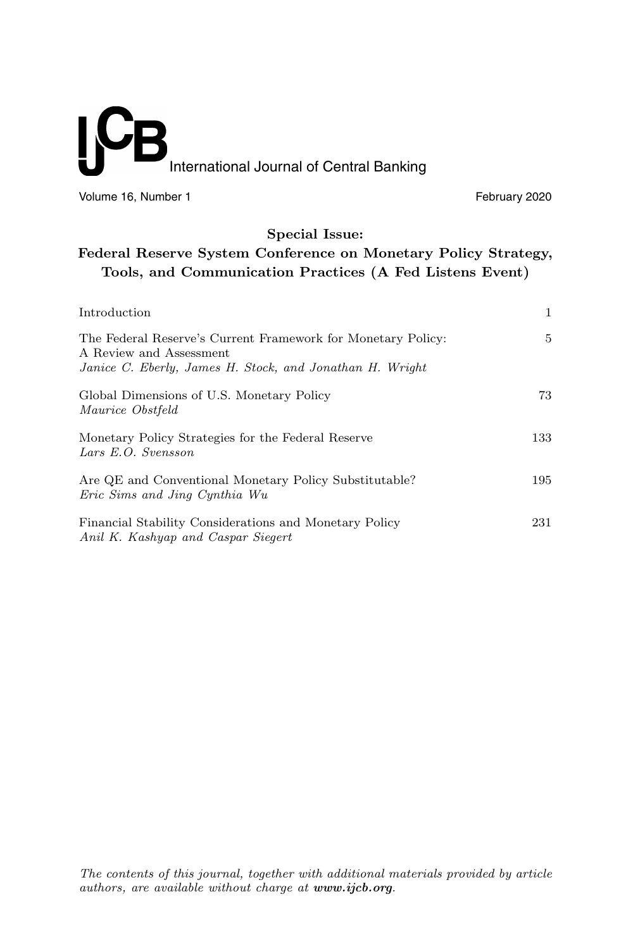# International Journal of Central Banking

Volume 16, Number 1 **February 2020** 

# **Special Issue:**

# **Federal Reserve System Conference on Monetary Policy Strategy, Tools, and Communication Practices (A Fed Listens Event)**

| Introduction                                                                                                                                        | 1   |
|-----------------------------------------------------------------------------------------------------------------------------------------------------|-----|
| The Federal Reserve's Current Framework for Monetary Policy:<br>A Review and Assessment<br>Janice C. Eberly, James H. Stock, and Jonathan H. Wright | 5   |
| Global Dimensions of U.S. Monetary Policy<br>Maurice Obstfeld                                                                                       | 73  |
| Monetary Policy Strategies for the Federal Reserve<br>Lars E.O. Svensson                                                                            | 133 |
| Are QE and Conventional Monetary Policy Substitutable?<br>Eric Sims and Jing Cynthia Wu                                                             | 195 |
| Financial Stability Considerations and Monetary Policy<br>Anil K. Kashyap and Caspar Siegert                                                        | 231 |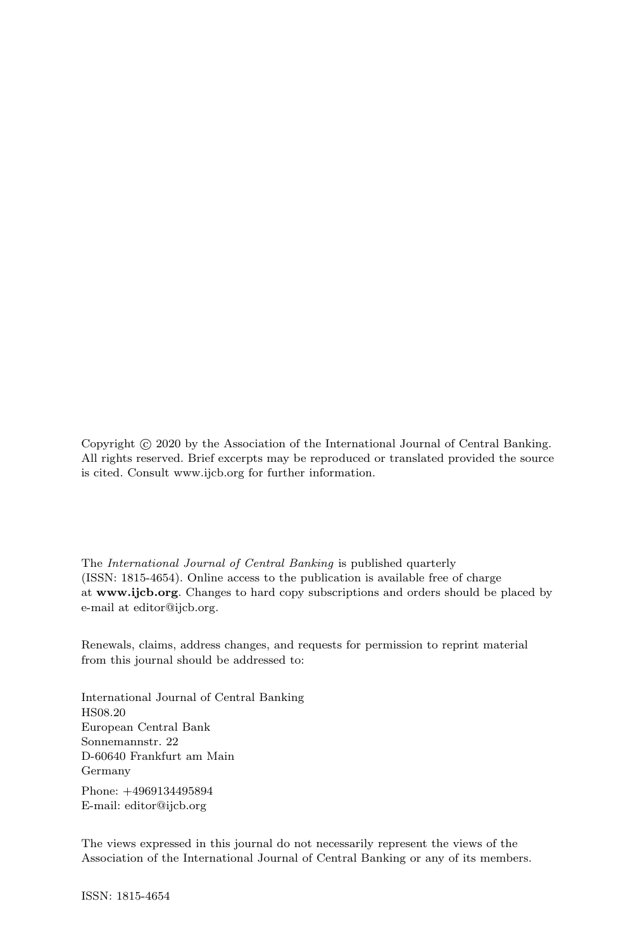Copyright  $\odot$  2020 by the Association of the International Journal of Central Banking. All rights reserved. Brief excerpts may be reproduced or translated provided the source is cited. Consult www.ijcb.org for further information.

The International Journal of Central Banking is published quarterly (ISSN: 1815-4654). Online access to the publication is available free of charge at **www.ijcb.org**. Changes to hard copy subscriptions and orders should be placed by e-mail at editor@ijcb.org.

Renewals, claims, address changes, and requests for permission to reprint material from this journal should be addressed to:

International Journal of Central Banking HS08.20 European Central Bank Sonnemannstr. 22 D-60640 Frankfurt am Main Germany

Phone: +4969134495894 E-mail: editor@ijcb.org

The views expressed in this journal do not necessarily represent the views of the Association of the International Journal of Central Banking or any of its members.